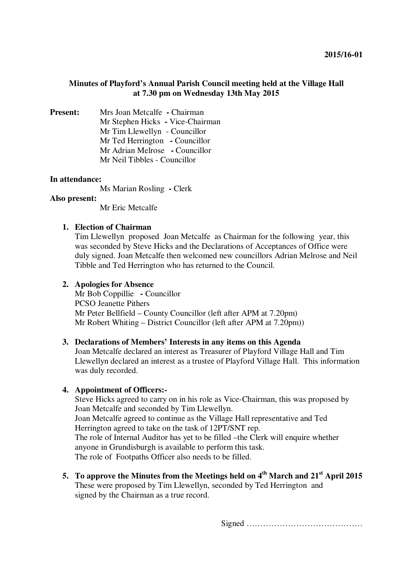### **Minutes of Playford's Annual Parish Council meeting held at the Village Hall at 7.30 pm on Wednesday 13th May 2015**

**Present:** Mrs Joan Metcalfe **-** Chairman Mr Stephen Hicks **-** Vice-Chairman Mr Tim Llewellyn - Councillor Mr Ted Herrington **-** Councillor Mr Adrian Melrose **-** Councillor Mr Neil Tibbles - Councillor

#### **In attendance:**

Ms Marian Rosling **-** Clerk

#### **Also present:**

Mr Eric Metcalfe

### **1. Election of Chairman**

Tim Llewellyn proposed Joan Metcalfe as Chairman for the following year, this was seconded by Steve Hicks and the Declarations of Acceptances of Office were duly signed. Joan Metcalfe then welcomed new councillors Adrian Melrose and Neil Tibble and Ted Herrington who has returned to the Council.

#### **2. Apologies for Absence**

Mr Bob Coppillie **-** Councillor PCSO Jeanette Pithers Mr Peter Bellfield – County Councillor (left after APM at 7.20pm) Mr Robert Whiting – District Councillor (left after APM at 7.20pm))

#### **3. Declarations of Members' Interests in any items on this Agenda**

Joan Metcalfe declared an interest as Treasurer of Playford Village Hall and Tim Llewellyn declared an interest as a trustee of Playford Village Hall. This information was duly recorded.

#### **4. Appointment of Officers:-**

Steve Hicks agreed to carry on in his role as Vice-Chairman, this was proposed by Joan Metcalfe and seconded by Tim Llewellyn. Joan Metcalfe agreed to continue as the Village Hall representative and Ted Herrington agreed to take on the task of 12PT/SNT rep. The role of Internal Auditor has yet to be filled –the Clerk will enquire whether anyone in Grundisburgh is available to perform this task. The role of Footpaths Officer also needs to be filled.

**5. To approve the Minutes from the Meetings held on 4th March and 21st April 2015**  These were proposed by Tim Llewellyn, seconded by Ted Herrington and signed by the Chairman as a true record.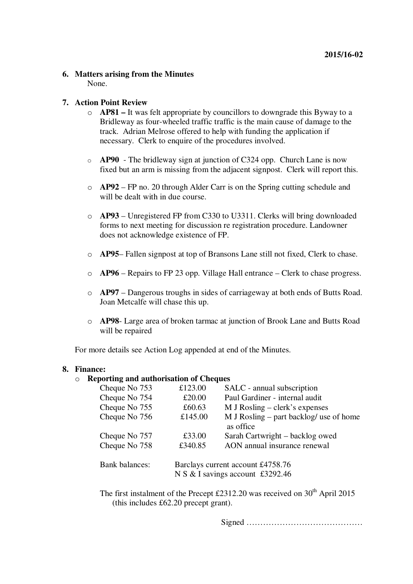#### **6. Matters arising from the Minutes** None.

#### **7. Action Point Review**

- o **AP81** It was felt appropriate by councillors to downgrade this Byway to a Bridleway as four-wheeled traffic traffic is the main cause of damage to the track. Adrian Melrose offered to help with funding the application if necessary. Clerk to enquire of the procedures involved.
- o **AP90** The bridleway sign at junction of C324 opp. Church Lane is now fixed but an arm is missing from the adjacent signpost. Clerk will report this.
- o **AP92** FP no. 20 through Alder Carr is on the Spring cutting schedule and will be dealt with in due course.
- o **AP93**  Unregistered FP from C330 to U3311. Clerks will bring downloaded forms to next meeting for discussion re registration procedure. Landowner does not acknowledge existence of FP.
- o **AP95** Fallen signpost at top of Bransons Lane still not fixed, Clerk to chase.
- o **AP96** Repairs to FP 23 opp. Village Hall entrance Clerk to chase progress.
- o **AP97** Dangerous troughs in sides of carriageway at both ends of Butts Road. Joan Metcalfe will chase this up.
- o **AP98** Large area of broken tarmac at junction of Brook Lane and Butts Road will be repaired

For more details see Action Log appended at end of the Minutes.

#### **8. Finance:**

### o **Reporting and authorisation of Cheques**

| Cheque No 753         | £123.00                           | SALC - annual subscription                |
|-----------------------|-----------------------------------|-------------------------------------------|
| Cheque No 754         | £20.00                            | Paul Gardiner - internal audit            |
| Cheque No 755         | £60.63                            | $M$ J Rosling – clerk's expenses          |
| Cheque No 756         | £145.00                           | $M$ J Rosling – part backlog/ use of home |
|                       |                                   | as office                                 |
| Cheque No 757         | £33.00                            | Sarah Cartwright – backlog owed           |
| Cheque No 758         | £340.85                           | AON annual insurance renewal              |
|                       |                                   |                                           |
| <b>Bank</b> balances: | Barclays current account £4758.76 |                                           |
|                       | N S & I savings account £3292.46  |                                           |

The first instalment of the Precept £2312.20 was received on  $30<sup>th</sup>$  April 2015 (this includes £62.20 precept grant).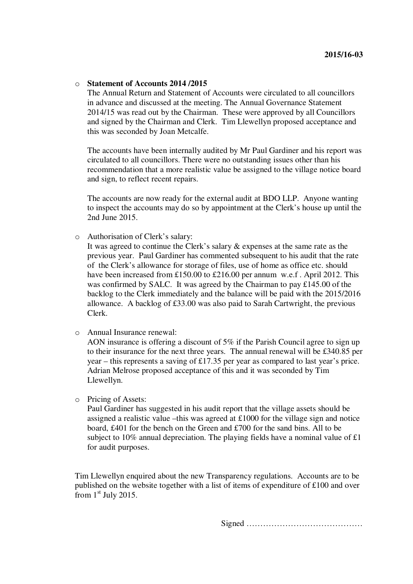#### o **Statement of Accounts 2014 /2015**

The Annual Return and Statement of Accounts were circulated to all councillors in advance and discussed at the meeting. The Annual Governance Statement 2014/15 was read out by the Chairman. These were approved by all Councillors and signed by the Chairman and Clerk. Tim Llewellyn proposed acceptance and this was seconded by Joan Metcalfe.

The accounts have been internally audited by Mr Paul Gardiner and his report was circulated to all councillors. There were no outstanding issues other than his recommendation that a more realistic value be assigned to the village notice board and sign, to reflect recent repairs.

The accounts are now ready for the external audit at BDO LLP. Anyone wanting to inspect the accounts may do so by appointment at the Clerk's house up until the 2nd June 2015.

o Authorisation of Clerk's salary:

It was agreed to continue the Clerk's salary & expenses at the same rate as the previous year. Paul Gardiner has commented subsequent to his audit that the rate of the Clerk's allowance for storage of files, use of home as office etc. should have been increased from £150.00 to £216.00 per annum w.e.f. April 2012. This was confirmed by SALC. It was agreed by the Chairman to pay £145.00 of the backlog to the Clerk immediately and the balance will be paid with the 2015/2016 allowance. A backlog of £33.00 was also paid to Sarah Cartwright, the previous Clerk.

o Annual Insurance renewal:

AON insurance is offering a discount of  $5\%$  if the Parish Council agree to sign up to their insurance for the next three years. The annual renewal will be £340.85 per year – this represents a saving of £17.35 per year as compared to last year's price. Adrian Melrose proposed acceptance of this and it was seconded by Tim Llewellyn.

o Pricing of Assets:

Paul Gardiner has suggested in his audit report that the village assets should be assigned a realistic value –this was agreed at  $\text{\pounds}1000$  for the village sign and notice board, £401 for the bench on the Green and £700 for the sand bins. All to be subject to 10% annual depreciation. The playing fields have a nominal value of  $\pounds1$ for audit purposes.

Tim Llewellyn enquired about the new Transparency regulations. Accounts are to be published on the website together with a list of items of expenditure of £100 and over from  $1<sup>st</sup>$  July 2015.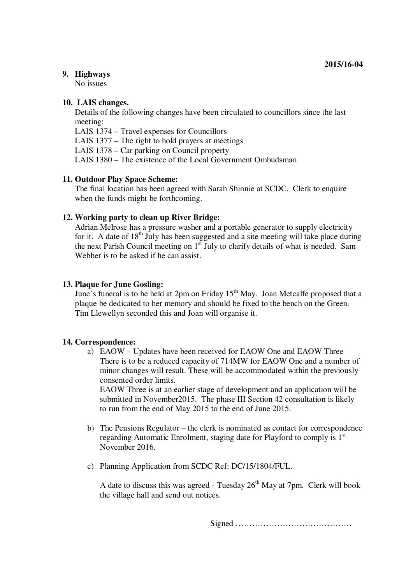### **9. Highways**

No issues

#### **10. LAIS changes.**

Details of the following changes have been circulated to councillors since the last meeting:

LAIS 1374 – Travel expenses for Councillors

LAIS 1377 – The right to hold prayers at meetings

LAIS 1378 – Car parking on Council property

LAIS 1380 – The existence of the Local Government Ombudsman

## **11. Outdoor Play Space Scheme:**

The final location has been agreed with Sarah Shinnie at SCDC. Clerk to enquire when the funds might be forthcoming.

## **12. Working party to clean up River Bridge:**

Adrian Melrose has a pressure washer and a portable generator to supply electricity for it. A date of  $18<sup>th</sup>$  July has been suggested and a site meeting will take place during the next Parish Council meeting on  $1<sup>st</sup>$  July to clarify details of what is needed. Sam Webber is to be asked if he can assist.

### **13. Plaque for June Gosling:**

June's funeral is to be held at 2pm on Friday 15th May. Joan Metcalfe proposed that a plaque be dedicated to her memory and should be fixed to the bench on the Green. Tim Llewellyn seconded this and Joan will organise it.

#### **14. Correspondence:**

a) EAOW – Updates have been received for EAOW One and EAOW Three There is to be a reduced capacity of 714MW for EAOW One and a number of minor changes will result. These will be accommodated within the previously consented order limits.

EAOW Three is at an earlier stage of development and an application will be submitted in November2015. The phase III Section 42 consultation is likely to run from the end of May 2015 to the end of June 2015.

- b) The Pensions Regulator the clerk is nominated as contact for correspondence regarding Automatic Enrolment, staging date for Playford to comply is 1<sup>st</sup> November 2016.
- c) Planning Application from SCDC Ref: DC/15/1804/FUL.

A date to discuss this was agreed - Tuesday  $26<sup>th</sup>$  May at 7pm. Clerk will book the village hall and send out notices.